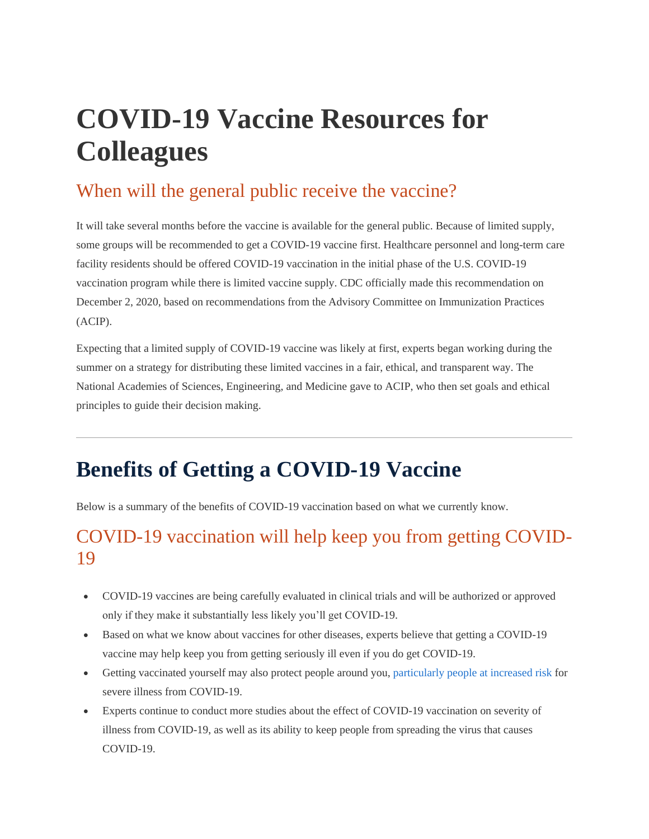## **COVID-19 Vaccine Resources for Colleagues**

### When will the general public receive the vaccine?

It will take several months before the vaccine is available for the general public. Because of limited supply, some groups will be recommended to get a COVID-19 vaccine first. Healthcare personnel and long-term care facility residents should be offered COVID-19 vaccination in the initial phase of the U.S. COVID-19 vaccination program while there is limited vaccine supply. CDC officially made this recommendation on December 2, 2020, based on recommendations from the Advisory Committee on Immunization Practices (ACIP).

Expecting that a limited supply of COVID-19 vaccine was likely at first, experts began working during the summer on a strategy for distributing these limited vaccines in a fair, ethical, and transparent way. The National Academies of Sciences, Engineering, and Medicine gave to ACIP, who then set goals and ethical principles to guide their decision making.

### **Benefits of Getting a COVID-19 Vaccine**

Below is a summary of the benefits of COVID-19 vaccination based on what we currently know.

### COVID-19 vaccination will help keep you from getting COVID-19

- COVID-19 vaccines are being carefully evaluated in clinical trials and will be authorized or approved only if they make it substantially less likely you'll get COVID-19.
- Based on what we know about vaccines for other diseases, experts believe that getting a COVID-19 vaccine may help keep you from getting seriously ill even if you do get COVID-19.
- Getting vaccinated yourself may also protect people around you, [particularly](https://www.cdc.gov/coronavirus/2019-ncov/need-extra-precautions/index.html) people at increased risk for severe illness from COVID-19.
- Experts continue to conduct more studies about the effect of COVID-19 vaccination on severity of illness from COVID-19, as well as its ability to keep people from spreading the virus that causes COVID-19.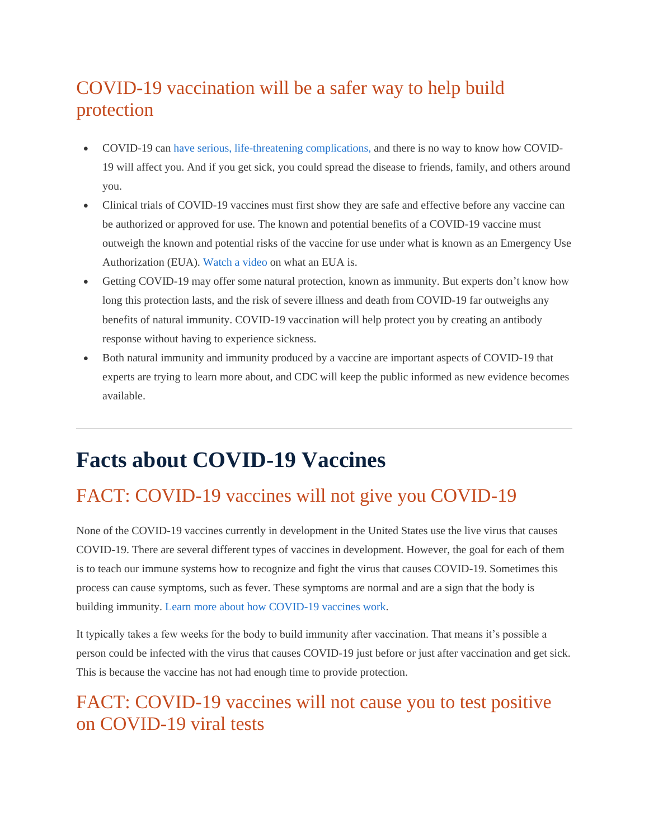### COVID-19 vaccination will be a safer way to help build protection

- COVID-19 can have serious, [life-threatening](https://www.cdc.gov/coronavirus/2019-ncov/symptoms-testing/symptoms.html) complications, and there is no way to know how COVID-19 will affect you. And if you get sick, you could spread the disease to friends, family, and others around you.
- Clinical trials of COVID-19 vaccines must first show they are safe and effective before any vaccine can be authorized or approved for use. The known and potential benefits of a COVID-19 vaccine must outweigh the known and potential risks of the vaccine for use under what is known as an Emergency Use Authorization (EUA)[. Watch](https://www.youtube.com/watch?v=iGkwaESsGBQ) a video on what an EUA is.
- Getting COVID-19 may offer some natural protection, known as immunity. But experts don't know how long this protection lasts, and the risk of severe illness and death from COVID-19 far outweighs any benefits of natural immunity. COVID-19 vaccination will help protect you by creating an antibody response without having to experience sickness.
- Both natural immunity and immunity produced by a vaccine are important aspects of COVID-19 that experts are trying to learn more about, and CDC will keep the public informed as new evidence becomes available.

### **Facts about COVID-19 Vaccines**

### FACT: COVID-19 vaccines will not give you COVID-19

None of the COVID-19 vaccines currently in development in the United States use the live virus that causes COVID-19. There are several different types of vaccines in development. However, the goal for each of them is to teach our immune systems how to recognize and fight the virus that causes COVID-19. Sometimes this process can cause symptoms, such as fever. These symptoms are normal and are a sign that the body is building immunity. Learn more about how [COVID-19](https://www.cdc.gov/coronavirus/2019-ncov/vaccines/about-vaccines/how-they-work.html) vaccines work.

It typically takes a few weeks for the body to build immunity after vaccination. That means it's possible a person could be infected with the virus that causes COVID-19 just before or just after vaccination and get sick. This is because the vaccine has not had enough time to provide protection.

### FACT: COVID-19 vaccines will not cause you to test positive on COVID-19 viral tests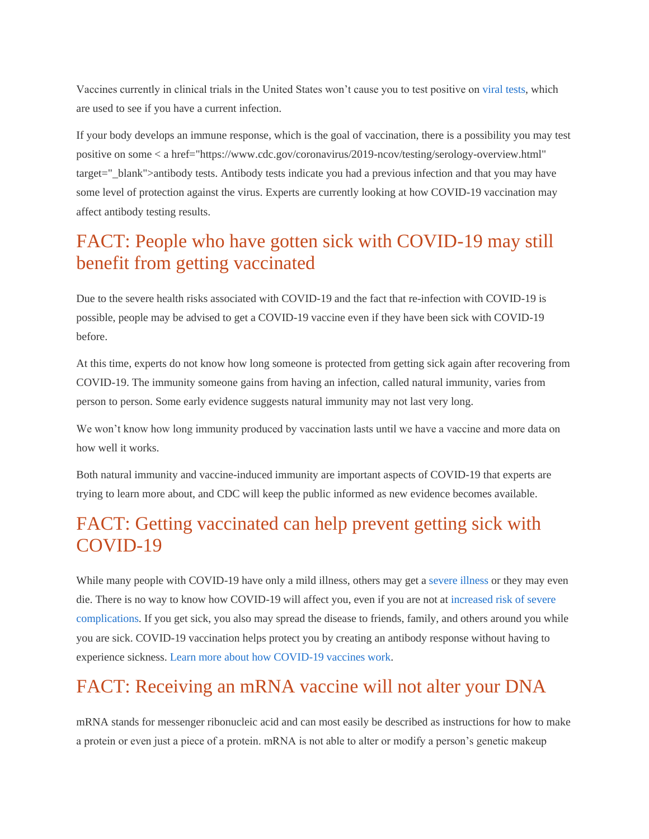Vaccines currently in clinical trials in the United States won't cause you to test positive on [viral](https://www.cdc.gov/coronavirus/2019-ncov/testing/diagnostic-testing.html) tests, which are used to see if you have a current infection.

If your body develops an immune response, which is the goal of vaccination, there is a possibility you may test positive on some < a href="https://www.cdc.gov/coronavirus/2019-ncov/testing/serology-overview.html" target="\_blank">antibody tests. Antibody tests indicate you had a previous infection and that you may have some level of protection against the virus. Experts are currently looking at how COVID-19 vaccination may affect antibody testing results.

### FACT: People who have gotten sick with COVID-19 may still benefit from getting vaccinated

Due to the severe health risks associated with COVID-19 and the fact that re-infection with COVID-19 is possible, people may be advised to get a COVID-19 vaccine even if they have been sick with COVID-19 before.

At this time, experts do not know how long someone is protected from getting sick again after recovering from COVID-19. The immunity someone gains from having an infection, called natural immunity, varies from person to person. Some early evidence suggests natural immunity may not last very long.

We won't know how long immunity produced by vaccination lasts until we have a vaccine and more data on how well it works.

Both natural immunity and vaccine-induced immunity are important aspects of COVID-19 that experts are trying to learn more about, and CDC will keep the public informed as new evidence becomes available.

### FACT: Getting vaccinated can help prevent getting sick with COVID-19

While many people with COVID-19 have only a mild illness, others may get a [severe](https://www.cdc.gov/coronavirus/2019-ncov/symptoms-testing/symptoms.html) illness or they may even die. There is no way to know how COVID-19 will affect you, even if you are not a[t increased](https://www.cdc.gov/coronavirus/2019-ncov/need-extra-precautions/index.html) risk of severe [complications.](https://www.cdc.gov/coronavirus/2019-ncov/need-extra-precautions/index.html) If you get sick, you also may spread the disease to friends, family, and others around you while you are sick. COVID-19 vaccination helps protect you by creating an antibody response without having to experience sickness. Learn more about how [COVID-19](https://www.cdc.gov/coronavirus/2019-ncov/vaccines/about-vaccines/how-they-work.html) vaccines work.

### FACT: Receiving an mRNA vaccine will not alter your DNA

mRNA stands for messenger ribonucleic acid and can most easily be described as instructions for how to make a protein or even just a piece of a protein. mRNA is not able to alter or modify a person's genetic makeup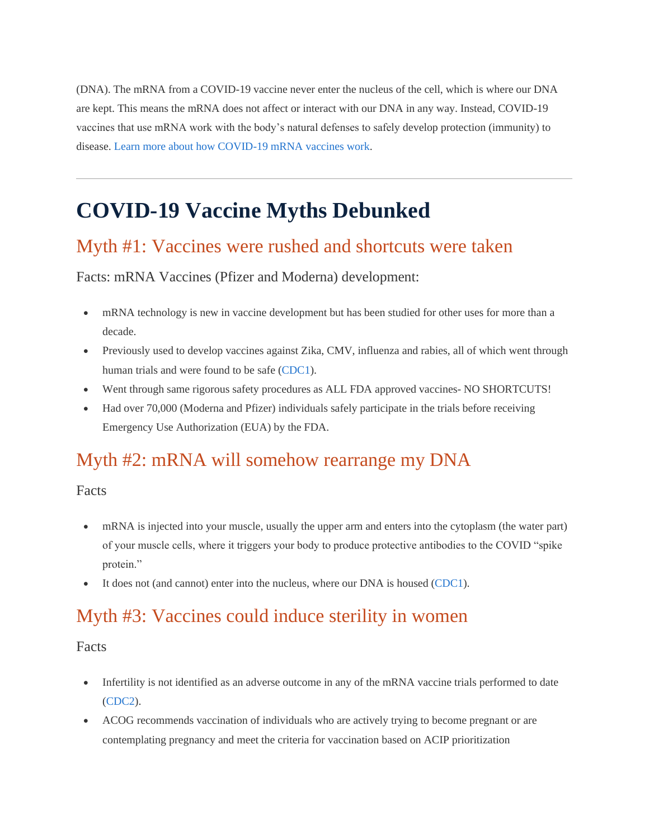(DNA). The mRNA from a COVID-19 vaccine never enter the nucleus of the cell, which is where our DNA are kept. This means the mRNA does not affect or interact with our DNA in any way. Instead, COVID-19 vaccines that use mRNA work with the body's natural defenses to safely develop protection (immunity) to disease. Learn more about how [COVID-19](https://www.cdc.gov/coronavirus/2019-ncov/vaccines/different-vaccines/mrna.html) mRNA vaccines work.

### **COVID-19 Vaccine Myths Debunked**

#### Myth #1: Vaccines were rushed and shortcuts were taken

Facts: mRNA Vaccines (Pfizer and Moderna) development:

- mRNA technology is new in vaccine development but has been studied for other uses for more than a decade.
- Previously used to develop vaccines against Zika, CMV, influenza and rabies, all of which went through human trials and were found to be safe [\(CDC1\)](https://hcatristardivision.com/campaigns/covid-19-vaccine-resources#ref1).
- Went through same rigorous safety procedures as ALL FDA approved vaccines- NO SHORTCUTS!
- Had over 70,000 (Moderna and Pfizer) individuals safely participate in the trials before receiving Emergency Use Authorization (EUA) by the FDA.

#### Myth #2: mRNA will somehow rearrange my DNA

Facts

- mRNA is injected into your muscle, usually the upper arm and enters into the cytoplasm (the water part) of your muscle cells, where it triggers your body to produce protective antibodies to the COVID "spike protein."
- It does not (and cannot) enter into the nucleus, where our DNA is housed [\(CDC1\)](https://hcatristardivision.com/campaigns/covid-19-vaccine-resources#ref1).

#### Myth #3: Vaccines could induce sterility in women

Facts

- Infertility is not identified as an adverse outcome in any of the mRNA vaccine trials performed to date [\(CDC2\)](https://hcatristardivision.com/campaigns/covid-19-vaccine-resources#ref2).
- ACOG recommends vaccination of individuals who are actively trying to become pregnant or are contemplating pregnancy and meet the criteria for vaccination based on ACIP prioritization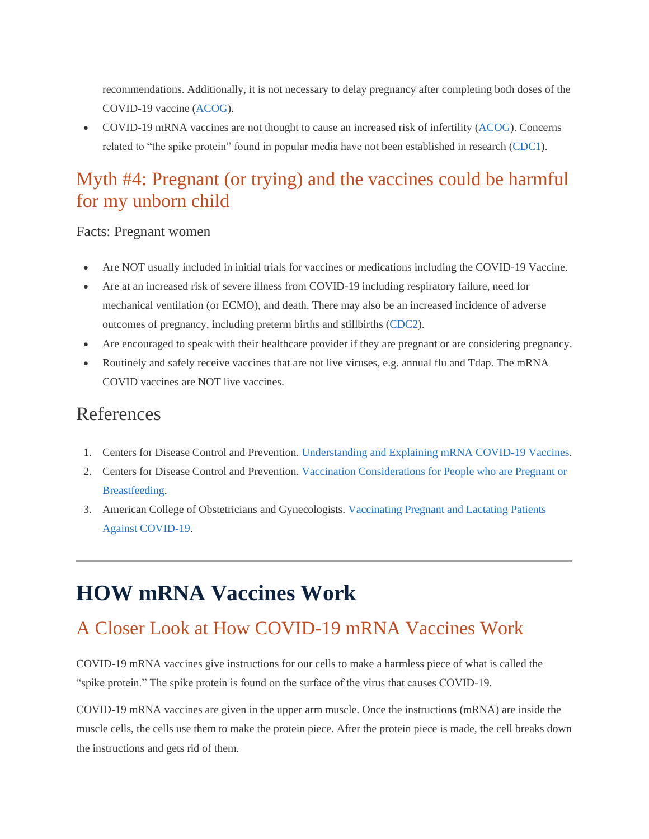recommendations. Additionally, it is not necessary to delay pregnancy after completing both doses of the COVID-19 vaccine [\(ACOG\)](https://hcatristardivision.com/campaigns/covid-19-vaccine-resources#ref3).

• COVID-19 mRNA vaccines are not thought to cause an increased risk of infertility [\(ACOG\)](https://hcatristardivision.com/campaigns/covid-19-vaccine-resources#ref3). Concerns related to "the spike protein" found in popular media have not been established in research [\(CDC1\)](https://hcatristardivision.com/campaigns/covid-19-vaccine-resources#ref1).

### Myth #4: Pregnant (or trying) and the vaccines could be harmful for my unborn child

#### Facts: Pregnant women

- Are NOT usually included in initial trials for vaccines or medications including the COVID-19 Vaccine.
- Are at an increased risk of severe illness from COVID-19 including respiratory failure, need for mechanical ventilation (or ECMO), and death. There may also be an increased incidence of adverse outcomes of pregnancy, including preterm births and stillbirths [\(CDC2\)](https://hcatristardivision.com/campaigns/covid-19-vaccine-resources#ref2).
- Are encouraged to speak with their healthcare provider if they are pregnant or are considering pregnancy.
- Routinely and safely receive vaccines that are not live viruses, e.g. annual flu and Tdap. The mRNA COVID vaccines are NOT live vaccines.

#### References

- 1. Centers for Disease Control and Prevention. [Understanding](https://www.cdc.gov/vaccines/covid-19/hcp/mrna-vaccine-basics.html) and Explaining mRNA COVID-19 Vaccines.
- 2. Centers for Disease Control and Prevention. Vaccination [Considerations](https://www.cdc.gov/coronavirus/2019-ncov/vaccines/recommendations/pregnancy.html) for People who are Pregnant or [Breastfeeding.](https://www.cdc.gov/coronavirus/2019-ncov/vaccines/recommendations/pregnancy.html)
- 3. American College of Obstetricians and Gynecologists. [Vaccinating](https://www.acog.org/clinical/clinical-guidance/practice-advisory/articles/2020/12/vaccinating-pregnant-and-lactating-patients-against-covid-19) Pregnant and Lactating Patients Against [COVID-19.](https://www.acog.org/clinical/clinical-guidance/practice-advisory/articles/2020/12/vaccinating-pregnant-and-lactating-patients-against-covid-19)

### **HOW mRNA Vaccines Work**

### A Closer Look at How COVID-19 mRNA Vaccines Work

COVID-19 mRNA vaccines give instructions for our cells to make a harmless piece of what is called the "spike protein." The spike protein is found on the surface of the virus that causes COVID-19.

COVID-19 mRNA vaccines are given in the upper arm muscle. Once the instructions (mRNA) are inside the muscle cells, the cells use them to make the protein piece. After the protein piece is made, the cell breaks down the instructions and gets rid of them.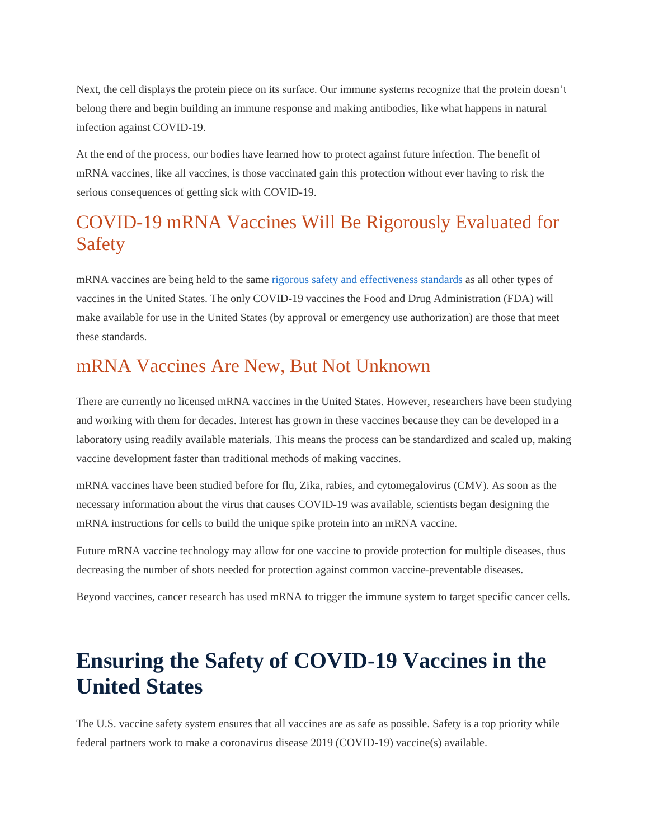Next, the cell displays the protein piece on its surface. Our immune systems recognize that the protein doesn't belong there and begin building an immune response and making antibodies, like what happens in natural infection against COVID-19.

At the end of the process, our bodies have learned how to protect against future infection. The benefit of mRNA vaccines, like all vaccines, is those vaccinated gain this protection without ever having to risk the serious consequences of getting sick with COVID-19.

### COVID-19 mRNA Vaccines Will Be Rigorously Evaluated for Safety

mRNA vaccines are being held to the same rigorous safety and [effectiveness](https://www.fda.gov/media/139638/download) standards as all other types of vaccines in the United States. The only COVID-19 vaccines the Food and Drug Administration (FDA) will make available for use in the United States (by approval or emergency use authorization) are those that meet these standards.

### mRNA Vaccines Are New, But Not Unknown

There are currently no licensed mRNA vaccines in the United States. However, researchers have been studying and working with them for decades. Interest has grown in these vaccines because they can be developed in a laboratory using readily available materials. This means the process can be standardized and scaled up, making vaccine development faster than traditional methods of making vaccines.

mRNA vaccines have been studied before for flu, Zika, rabies, and cytomegalovirus (CMV). As soon as the necessary information about the virus that causes COVID-19 was available, scientists began designing the mRNA instructions for cells to build the unique spike protein into an mRNA vaccine.

Future mRNA vaccine technology may allow for one vaccine to provide protection for multiple diseases, thus decreasing the number of shots needed for protection against common vaccine-preventable diseases.

Beyond vaccines, cancer research has used mRNA to trigger the immune system to target specific cancer cells.

### **Ensuring the Safety of COVID-19 Vaccines in the United States**

The U.S. vaccine safety system ensures that all vaccines are as safe as possible. Safety is a top priority while federal partners work to make a coronavirus disease 2019 (COVID-19) vaccine(s) available.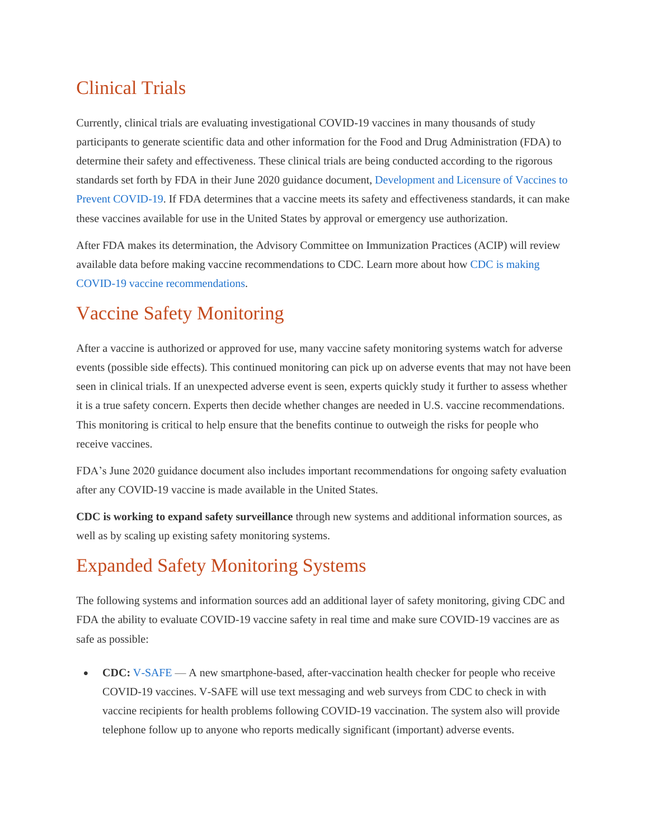### Clinical Trials

Currently, clinical trials are evaluating investigational COVID-19 vaccines in many thousands of study participants to generate scientific data and other information for the Food and Drug Administration (FDA) to determine their safety and effectiveness. These clinical trials are being conducted according to the rigorous standards set forth by FDA in their June 2020 guidance document[, Development](https://www.fda.gov/media/139638/download) and Licensure of Vaccines to Prevent [COVID-19.](https://www.fda.gov/media/139638/download) If FDA determines that a vaccine meets its safety and effectiveness standards, it can make these vaccines available for use in the United States by approval or emergency use authorization.

After FDA makes its determination, the Advisory Committee on Immunization Practices (ACIP) will review available data before making vaccine recommendations to CDC. Learn more about how CDC is [making](https://www.cdc.gov/coronavirus/2019-ncov/vaccines/recommendations-process.html) COVID-19 vaccine [recommendations.](https://www.cdc.gov/coronavirus/2019-ncov/vaccines/recommendations-process.html)

### Vaccine Safety Monitoring

After a vaccine is authorized or approved for use, many vaccine safety monitoring systems watch for adverse events (possible side effects). This continued monitoring can pick up on adverse events that may not have been seen in clinical trials. If an unexpected adverse event is seen, experts quickly study it further to assess whether it is a true safety concern. Experts then decide whether changes are needed in U.S. vaccine recommendations. This monitoring is critical to help ensure that the benefits continue to outweigh the risks for people who receive vaccines.

FDA's June 2020 guidance document also includes important recommendations for ongoing safety evaluation after any COVID-19 vaccine is made available in the United States.

**CDC is working to expand safety surveillance** through new systems and additional information sources, as well as by scaling up existing safety monitoring systems.

### Expanded Safety Monitoring Systems

The following systems and information sources add an additional layer of safety monitoring, giving CDC and FDA the ability to evaluate COVID-19 vaccine safety in real time and make sure COVID-19 vaccines are as safe as possible:

• **CDC:** [V-SAFE](https://www.cdc.gov/vaccines/acip/meetings/downloads/slides-2020-09/COVID-03-Shimabukuro.pdf) — A new smartphone-based, after-vaccination health checker for people who receive COVID-19 vaccines. V-SAFE will use text messaging and web surveys from CDC to check in with vaccine recipients for health problems following COVID-19 vaccination. The system also will provide telephone follow up to anyone who reports medically significant (important) adverse events.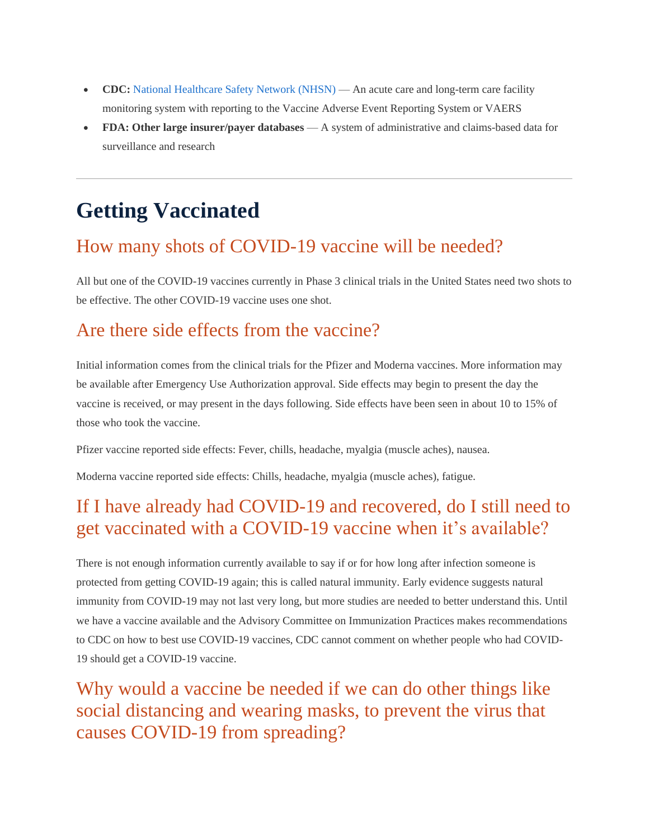- **CDC:** National [Healthcare](https://www.cdc.gov/nhsn/index.html) Safety Network (NHSN) An acute care and long-term care facility monitoring system with reporting to the Vaccine Adverse Event Reporting System or VAERS
- **FDA: Other large insurer/payer databases** A system of administrative and claims-based data for surveillance and research

### **Getting Vaccinated**

### How many shots of COVID-19 vaccine will be needed?

All but one of the COVID-19 vaccines currently in Phase 3 clinical trials in the United States need two shots to be effective. The other COVID-19 vaccine uses one shot.

### Are there side effects from the vaccine?

Initial information comes from the clinical trials for the Pfizer and Moderna vaccines. More information may be available after Emergency Use Authorization approval. Side effects may begin to present the day the vaccine is received, or may present in the days following. Side effects have been seen in about 10 to 15% of those who took the vaccine.

Pfizer vaccine reported side effects: Fever, chills, headache, myalgia (muscle aches), nausea.

Moderna vaccine reported side effects: Chills, headache, myalgia (muscle aches), fatigue.

### If I have already had COVID-19 and recovered, do I still need to get vaccinated with a COVID-19 vaccine when it's available?

There is not enough information currently available to say if or for how long after infection someone is protected from getting COVID-19 again; this is called natural immunity. Early evidence suggests natural immunity from COVID-19 may not last very long, but more studies are needed to better understand this. Until we have a vaccine available and the Advisory Committee on Immunization Practices makes recommendations to CDC on how to best use COVID-19 vaccines, CDC cannot comment on whether people who had COVID-19 should get a COVID-19 vaccine.

Why would a vaccine be needed if we can do other things like social distancing and wearing masks, to prevent the virus that causes COVID-19 from spreading?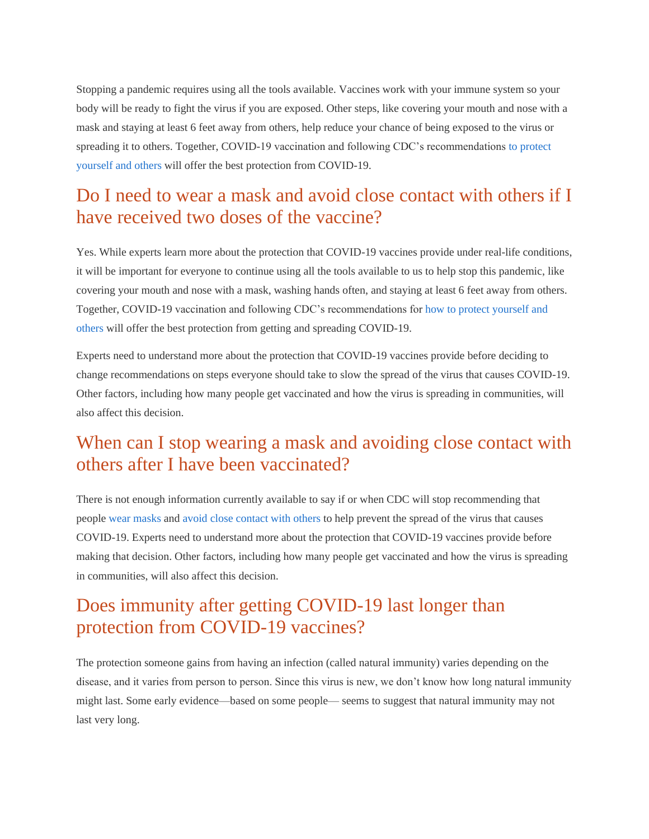Stopping a pandemic requires using all the tools available. Vaccines work with your immune system so your body will be ready to fight the virus if you are exposed. Other steps, like covering your mouth and nose with a mask and staying at least 6 feet away from others, help reduce your chance of being exposed to the virus or spreading it to others. Together, COVID-19 vaccination and following CDC's recommendations to [protect](https://www.cdc.gov/coronavirus/2019-ncov/prevent-getting-sick/prevention.html) [yourself](https://www.cdc.gov/coronavirus/2019-ncov/prevent-getting-sick/prevention.html) and others will offer the best protection from COVID-19.

#### Do I need to wear a mask and avoid close contact with others if I have received two doses of the vaccine?

Yes. While experts learn more about the protection that COVID-19 vaccines provide under real-life conditions, it will be important for everyone to continue using all the tools available to us to help stop this pandemic, like covering your mouth and nose with a mask, washing hands often, and staying at least 6 feet away from others. Together, COVID-19 vaccination and following CDC's recommendations for how to protect [yourself](https://www.cdc.gov/coronavirus/2019-ncov/prevent-getting-sick/prevention.html) and [others](https://www.cdc.gov/coronavirus/2019-ncov/prevent-getting-sick/prevention.html) will offer the best protection from getting and spreading COVID-19.

Experts need to understand more about the protection that COVID-19 vaccines provide before deciding to change recommendations on steps everyone should take to slow the spread of the virus that causes COVID-19. Other factors, including how many people get vaccinated and how the virus is spreading in communities, will also affect this decision.

#### When can I stop wearing a mask and avoiding close contact with others after I have been vaccinated?

There is not enough information currently available to say if or when CDC will stop recommending that people wear [masks](https://www.cdc.gov/coronavirus/2019-ncov/prevent-getting-sick/diy-cloth-face-coverings.html) and avoid close [contact](https://www.cdc.gov/coronavirus/2019-ncov/prevent-getting-sick/social-distancing.html) with others to help prevent the spread of the virus that causes COVID-19. Experts need to understand more about the protection that COVID-19 vaccines provide before making that decision. Other factors, including how many people get vaccinated and how the virus is spreading in communities, will also affect this decision.

### Does immunity after getting COVID-19 last longer than protection from COVID-19 vaccines?

The protection someone gains from having an infection (called natural immunity) varies depending on the disease, and it varies from person to person. Since this virus is new, we don't know how long natural immunity might last. Some early evidence—based on some people— seems to suggest that natural immunity may not last very long.